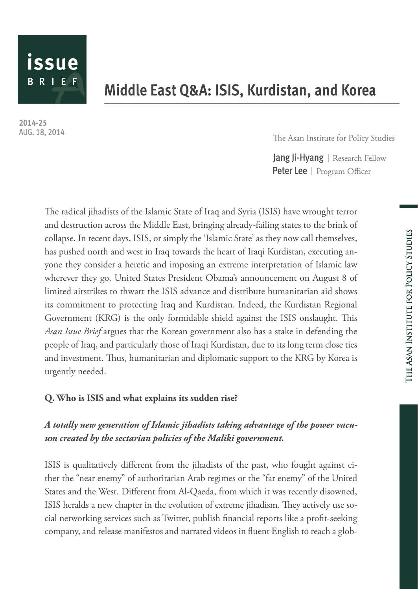

# Middle East Q&A: ISIS, Kurdistan, and Korea

2014-25 AUG. 18, 2014

The Asan Institute for Policy Studies

Jang Ji-Hyang | Research Fellow **Peter Lee** | Program Officer

The radical jihadists of the Islamic State of Iraq and Syria (ISIS) have wrought terror and destruction across the Middle East, bringing already-failing states to the brink of collapse. In recent days, ISIS, or simply the 'Islamic State' as they now call themselves, has pushed north and west in Iraq towards the heart of Iraqi Kurdistan, executing anyone they consider a heretic and imposing an extreme interpretation of Islamic law wherever they go. United States President Obama's announcement on August 8 of limited airstrikes to thwart the ISIS advance and distribute humanitarian aid shows its commitment to protecting Iraq and Kurdistan. Indeed, the Kurdistan Regional Government (KRG) is the only formidable shield against the ISIS onslaught. This *Asan Issue Brief* argues that the Korean government also has a stake in defending the people of Iraq, and particularly those of Iraqi Kurdistan, due to its long term close ties and investment. Thus, humanitarian and diplomatic support to the KRG by Korea is urgently needed.

## **Q. Who is ISIS and what explains its sudden rise?**

## *A totally new generation of Islamic jihadists taking advantage of the power vacuum created by the sectarian policies of the Maliki government.*

ISIS is qualitatively different from the jihadists of the past, who fought against either the "near enemy" of authoritarian Arab regimes or the "far enemy" of the United States and the West. Different from Al-Qaeda, from which it was recently disowned, ISIS heralds a new chapter in the evolution of extreme jihadism. They actively use social networking services such as Twitter, publish financial reports like a profit-seeking company, and release manifestos and narrated videos in fluent English to reach a glob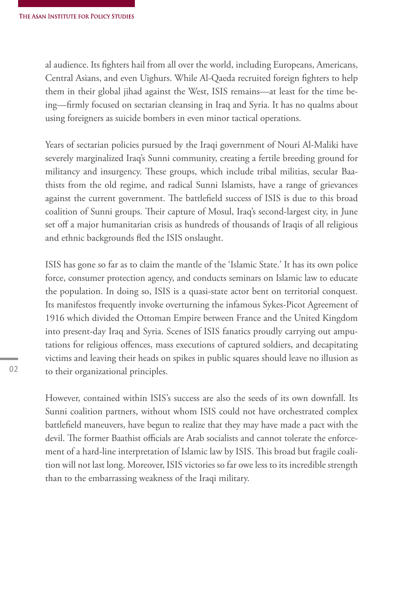al audience. Its fighters hail from all over the world, including Europeans, Americans, Central Asians, and even Uighurs. While Al-Qaeda recruited foreign fighters to help them in their global jihad against the West, ISIS remains—at least for the time being—firmly focused on sectarian cleansing in Iraq and Syria. It has no qualms about using foreigners as suicide bombers in even minor tactical operations.

Years of sectarian policies pursued by the Iraqi government of Nouri Al-Maliki have severely marginalized Iraq's Sunni community, creating a fertile breeding ground for militancy and insurgency. These groups, which include tribal militias, secular Baathists from the old regime, and radical Sunni Islamists, have a range of grievances against the current government. The battlefield success of ISIS is due to this broad coalition of Sunni groups. Their capture of Mosul, Iraq's second-largest city, in June set off a major humanitarian crisis as hundreds of thousands of Iraqis of all religious and ethnic backgrounds fled the ISIS onslaught.

ISIS has gone so far as to claim the mantle of the 'Islamic State.' It has its own police force, consumer protection agency, and conducts seminars on Islamic law to educate the population. In doing so, ISIS is a quasi-state actor bent on territorial conquest. Its manifestos frequently invoke overturning the infamous Sykes-Picot Agreement of 1916 which divided the Ottoman Empire between France and the United Kingdom into present-day Iraq and Syria. Scenes of ISIS fanatics proudly carrying out amputations for religious offences, mass executions of captured soldiers, and decapitating victims and leaving their heads on spikes in public squares should leave no illusion as to their organizational principles.

However, contained within ISIS's success are also the seeds of its own downfall. Its Sunni coalition partners, without whom ISIS could not have orchestrated complex battlefield maneuvers, have begun to realize that they may have made a pact with the devil. The former Baathist officials are Arab socialists and cannot tolerate the enforcement of a hard-line interpretation of Islamic law by ISIS. This broad but fragile coalition will not last long. Moreover, ISIS victories so far owe less to its incredible strength than to the embarrassing weakness of the Iraqi military.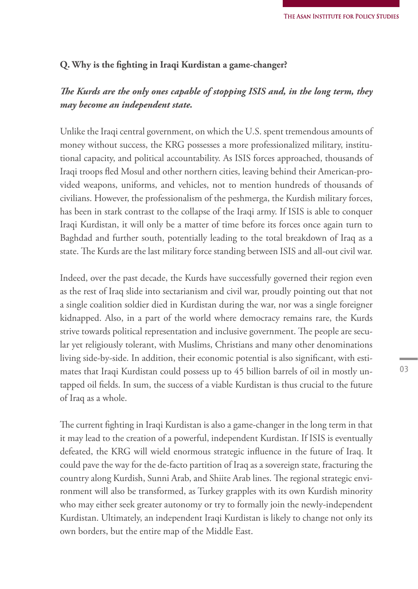### **Q. Why is the fighting in Iraqi Kurdistan a game-changer?**

## *The Kurds are the only ones capable of stopping ISIS and, in the long term, they may become an independent state.*

Unlike the Iraqi central government, on which the U.S. spent tremendous amounts of money without success, the KRG possesses a more professionalized military, institutional capacity, and political accountability. As ISIS forces approached, thousands of Iraqi troops fled Mosul and other northern cities, leaving behind their American-provided weapons, uniforms, and vehicles, not to mention hundreds of thousands of civilians. However, the professionalism of the peshmerga, the Kurdish military forces, has been in stark contrast to the collapse of the Iraqi army. If ISIS is able to conquer Iraqi Kurdistan, it will only be a matter of time before its forces once again turn to Baghdad and further south, potentially leading to the total breakdown of Iraq as a state. The Kurds are the last military force standing between ISIS and all-out civil war.

Indeed, over the past decade, the Kurds have successfully governed their region even as the rest of Iraq slide into sectarianism and civil war, proudly pointing out that not a single coalition soldier died in Kurdistan during the war, nor was a single foreigner kidnapped. Also, in a part of the world where democracy remains rare, the Kurds strive towards political representation and inclusive government. The people are secular yet religiously tolerant, with Muslims, Christians and many other denominations living side-by-side. In addition, their economic potential is also significant, with estimates that Iraqi Kurdistan could possess up to 45 billion barrels of oil in mostly untapped oil fields. In sum, the success of a viable Kurdistan is thus crucial to the future of Iraq as a whole.

The current fighting in Iraqi Kurdistan is also a game-changer in the long term in that it may lead to the creation of a powerful, independent Kurdistan. If ISIS is eventually defeated, the KRG will wield enormous strategic influence in the future of Iraq. It could pave the way for the de-facto partition of Iraq as a sovereign state, fracturing the country along Kurdish, Sunni Arab, and Shiite Arab lines. The regional strategic environment will also be transformed, as Turkey grapples with its own Kurdish minority who may either seek greater autonomy or try to formally join the newly-independent Kurdistan. Ultimately, an independent Iraqi Kurdistan is likely to change not only its own borders, but the entire map of the Middle East.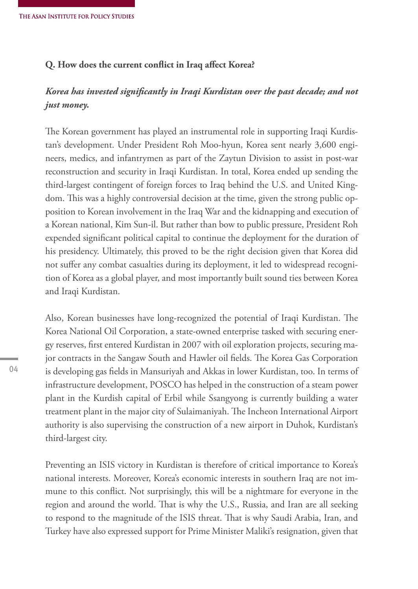#### **Q. How does the current conflict in Iraq affect Korea?**

## *Korea has invested significantly in Iraqi Kurdistan over the past decade; and not just money.*

The Korean government has played an instrumental role in supporting Iraqi Kurdistan's development. Under President Roh Moo-hyun, Korea sent nearly 3,600 engineers, medics, and infantrymen as part of the Zaytun Division to assist in post-war reconstruction and security in Iraqi Kurdistan. In total, Korea ended up sending the third-largest contingent of foreign forces to Iraq behind the U.S. and United Kingdom. This was a highly controversial decision at the time, given the strong public opposition to Korean involvement in the Iraq War and the kidnapping and execution of a Korean national, Kim Sun-il. But rather than bow to public pressure, President Roh expended significant political capital to continue the deployment for the duration of his presidency. Ultimately, this proved to be the right decision given that Korea did not suffer any combat casualties during its deployment, it led to widespread recognition of Korea as a global player, and most importantly built sound ties between Korea and Iraqi Kurdistan.

Also, Korean businesses have long-recognized the potential of Iraqi Kurdistan. The Korea National Oil Corporation, a state-owned enterprise tasked with securing energy reserves, first entered Kurdistan in 2007 with oil exploration projects, securing major contracts in the Sangaw South and Hawler oil fields. The Korea Gas Corporation is developing gas fields in Mansuriyah and Akkas in lower Kurdistan, too. In terms of infrastructure development, POSCO has helped in the construction of a steam power plant in the Kurdish capital of Erbil while Ssangyong is currently building a water treatment plant in the major city of Sulaimaniyah. The Incheon International Airport authority is also supervising the construction of a new airport in Duhok, Kurdistan's third-largest city.

Preventing an ISIS victory in Kurdistan is therefore of critical importance to Korea's national interests. Moreover, Korea's economic interests in southern Iraq are not immune to this conflict. Not surprisingly, this will be a nightmare for everyone in the region and around the world. That is why the U.S., Russia, and Iran are all seeking to respond to the magnitude of the ISIS threat. That is why Saudi Arabia, Iran, and Turkey have also expressed support for Prime Minister Maliki's resignation, given that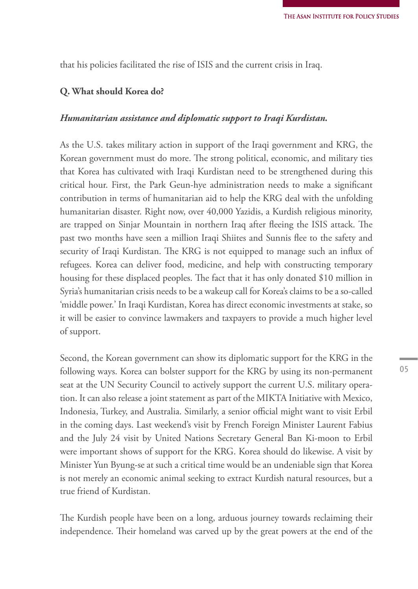that his policies facilitated the rise of ISIS and the current crisis in Iraq.

#### **Q. What should Korea do?**

#### *Humanitarian assistance and diplomatic support to Iraqi Kurdistan.*

As the U.S. takes military action in support of the Iraqi government and KRG, the Korean government must do more. The strong political, economic, and military ties that Korea has cultivated with Iraqi Kurdistan need to be strengthened during this critical hour. First, the Park Geun-hye administration needs to make a significant contribution in terms of humanitarian aid to help the KRG deal with the unfolding humanitarian disaster. Right now, over 40,000 Yazidis, a Kurdish religious minority, are trapped on Sinjar Mountain in northern Iraq after fleeing the ISIS attack. The past two months have seen a million Iraqi Shiites and Sunnis flee to the safety and security of Iraqi Kurdistan. The KRG is not equipped to manage such an influx of refugees. Korea can deliver food, medicine, and help with constructing temporary housing for these displaced peoples. The fact that it has only donated \$10 million in Syria's humanitarian crisis needs to be a wakeup call for Korea's claims to be a so-called 'middle power.' In Iraqi Kurdistan, Korea has direct economic investments at stake, so it will be easier to convince lawmakers and taxpayers to provide a much higher level of support.

Second, the Korean government can show its diplomatic support for the KRG in the following ways. Korea can bolster support for the KRG by using its non-permanent seat at the UN Security Council to actively support the current U.S. military operation. It can also release a joint statement as part of the MIKTA Initiative with Mexico, Indonesia, Turkey, and Australia. Similarly, a senior official might want to visit Erbil in the coming days. Last weekend's visit by French Foreign Minister Laurent Fabius and the July 24 visit by United Nations Secretary General Ban Ki-moon to Erbil were important shows of support for the KRG. Korea should do likewise. A visit by Minister Yun Byung-se at such a critical time would be an undeniable sign that Korea is not merely an economic animal seeking to extract Kurdish natural resources, but a true friend of Kurdistan.

The Kurdish people have been on a long, arduous journey towards reclaiming their independence. Their homeland was carved up by the great powers at the end of the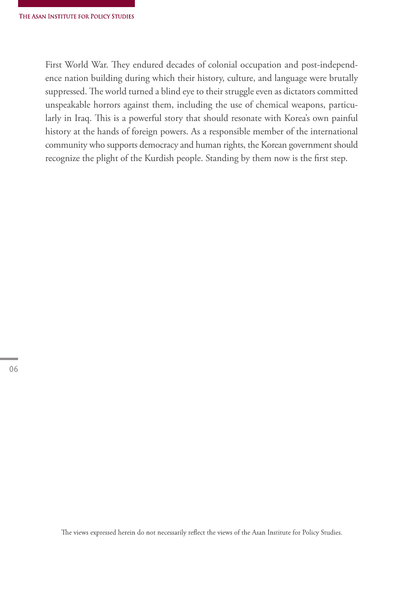First World War. They endured decades of colonial occupation and post-independence nation building during which their history, culture, and language were brutally suppressed. The world turned a blind eye to their struggle even as dictators committed unspeakable horrors against them, including the use of chemical weapons, particularly in Iraq. This is a powerful story that should resonate with Korea's own painful history at the hands of foreign powers. As a responsible member of the international community who supports democracy and human rights, the Korean government should recognize the plight of the Kurdish people. Standing by them now is the first step.

The views expressed herein do not necessarily reflect the views of the Asan Institute for Policy Studies.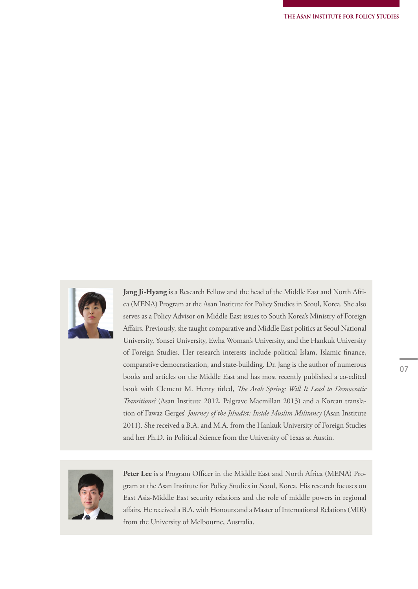

**Jang Ji-Hyang** is a Research Fellow and the head of the Middle East and North Africa (MENA) Program at the Asan Institute for Policy Studies in Seoul, Korea. She also serves as a Policy Advisor on Middle East issues to South Korea's Ministry of Foreign Affairs. Previously, she taught comparative and Middle East politics at Seoul National University, Yonsei University, Ewha Woman's University, and the Hankuk University of Foreign Studies. Her research interests include political Islam, Islamic finance, comparative democratization, and state-building. Dr. Jang is the author of numerous books and articles on the Middle East and has most recently published a co-edited book with Clement M. Henry titled, *The Arab Spring: Will It Lead to Democratic Transitions?* (Asan Institute 2012, Palgrave Macmillan 2013) and a Korean translation of Fawaz Gerges' *Journey of the Jihadist: Inside Muslim Militancy* (Asan Institute 2011). She received a B.A. and M.A. from the Hankuk University of Foreign Studies and her Ph.D. in Political Science from the University of Texas at Austin.



Peter Lee is a Program Officer in the Middle East and North Africa (MENA) Program at the Asan Institute for Policy Studies in Seoul, Korea. His research focuses on East Asia-Middle East security relations and the role of middle powers in regional affairs. He received a B.A. with Honours and a Master of International Relations (MIR) from the University of Melbourne, Australia.